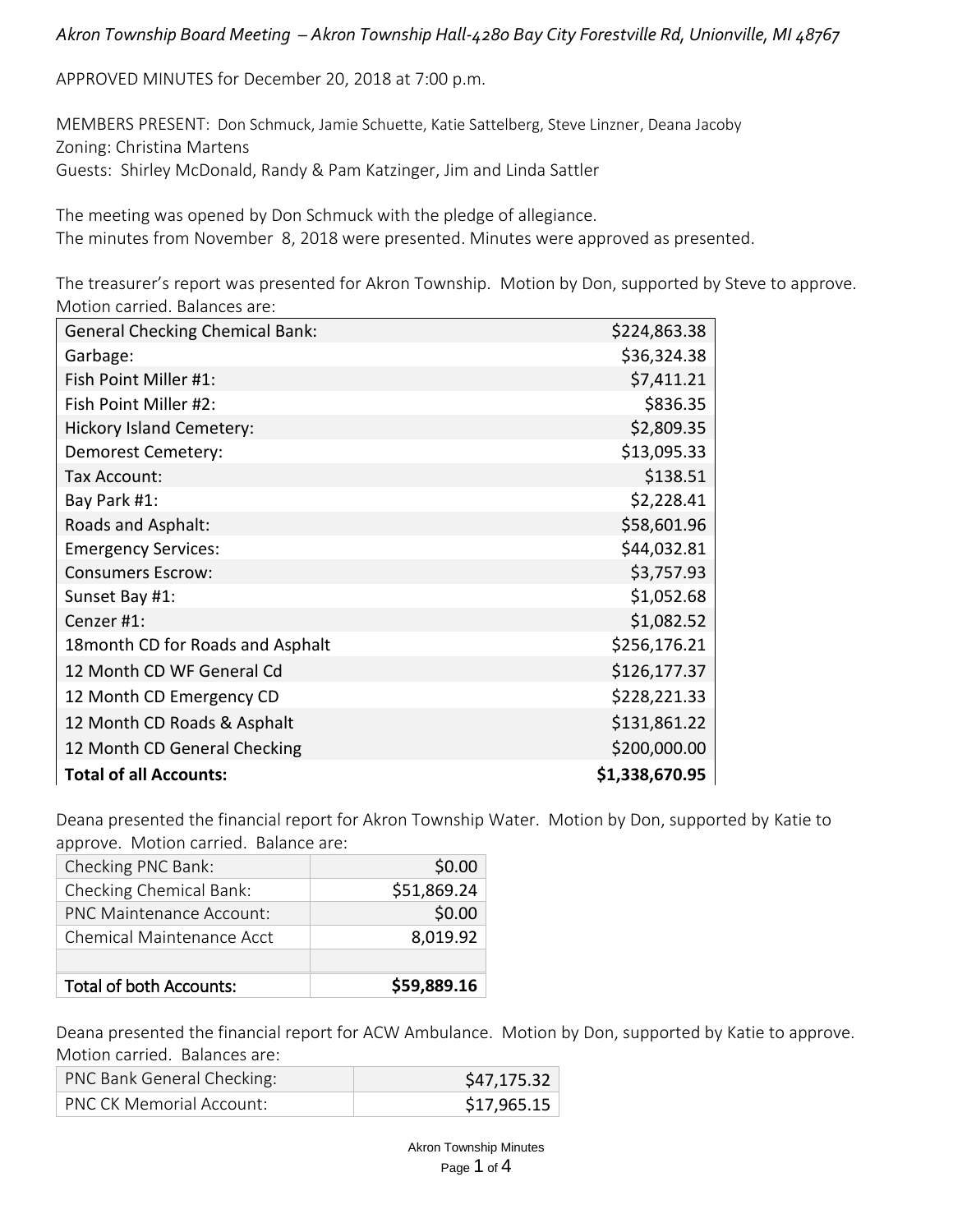APPROVED MINUTES for December 20, 2018 at 7:00 p.m.

MEMBERS PRESENT: Don Schmuck, Jamie Schuette, Katie Sattelberg, Steve Linzner, Deana Jacoby Zoning: Christina Martens Guests: Shirley McDonald, Randy & Pam Katzinger, Jim and Linda Sattler

The meeting was opened by Don Schmuck with the pledge of allegiance. The minutes from November 8, 2018 were presented. Minutes were approved as presented.

The treasurer's report was presented for Akron Township. Motion by Don, supported by Steve to approve. Motion carried. Balances are:

| <b>General Checking Chemical Bank:</b> | \$224,863.38   |
|----------------------------------------|----------------|
| Garbage:                               | \$36,324.38    |
| Fish Point Miller #1:                  | \$7,411.21     |
| Fish Point Miller #2:                  | \$836.35       |
| <b>Hickory Island Cemetery:</b>        | \$2,809.35     |
| Demorest Cemetery:                     | \$13,095.33    |
| Tax Account:                           | \$138.51       |
| Bay Park #1:                           | \$2,228.41     |
| Roads and Asphalt:                     | \$58,601.96    |
| <b>Emergency Services:</b>             | \$44,032.81    |
| <b>Consumers Escrow:</b>               | \$3,757.93     |
| Sunset Bay #1:                         | \$1,052.68     |
| Cenzer #1:                             | \$1,082.52     |
| 18 month CD for Roads and Asphalt      | \$256,176.21   |
| 12 Month CD WF General Cd              | \$126,177.37   |
| 12 Month CD Emergency CD               | \$228,221.33   |
| 12 Month CD Roads & Asphalt            | \$131,861.22   |
| 12 Month CD General Checking           | \$200,000.00   |
| <b>Total of all Accounts:</b>          | \$1,338,670.95 |

Deana presented the financial report for Akron Township Water. Motion by Don, supported by Katie to approve. Motion carried. Balance are:

| Checking PNC Bank:              | \$0.00      |
|---------------------------------|-------------|
| Checking Chemical Bank:         | \$51,869.24 |
| <b>PNC Maintenance Account:</b> | \$0.00      |
| Chemical Maintenance Acct       | 8,019.92    |
|                                 |             |
| <b>Total of both Accounts:</b>  | \$59,889.16 |

Deana presented the financial report for ACW Ambulance. Motion by Don, supported by Katie to approve. Motion carried. Balances are:

| PNC Bank General Checking:      | \$47,175.32 |
|---------------------------------|-------------|
| <b>PNC CK Memorial Account:</b> | \$17,965.15 |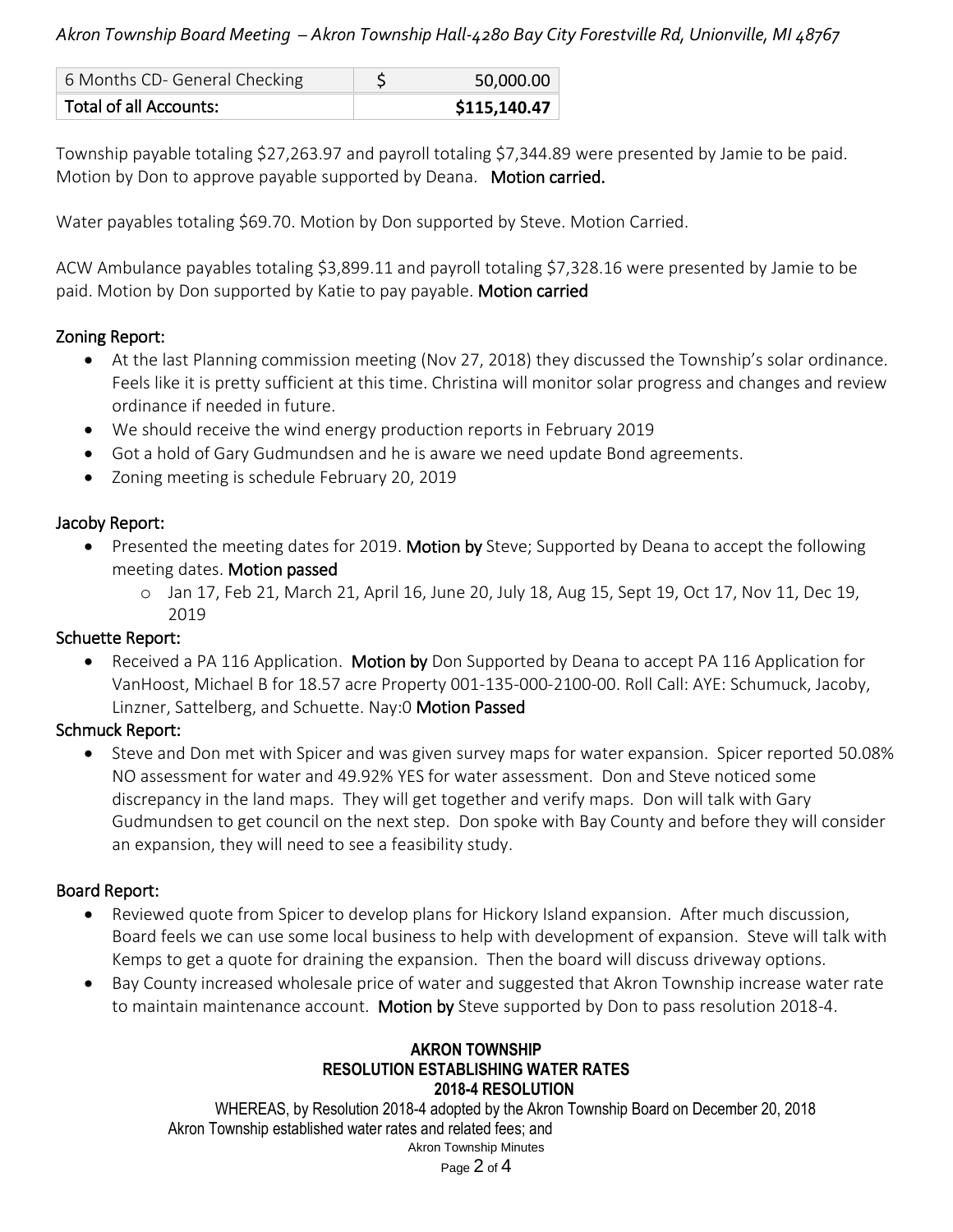| 6 Months CD- General Checking | 50,000.00    |
|-------------------------------|--------------|
| Total of all Accounts:        | \$115,140.47 |

Township payable totaling \$27,263.97 and payroll totaling \$7,344.89 were presented by Jamie to be paid. Motion by Don to approve payable supported by Deana. Motion carried.

Water payables totaling \$69.70. Motion by Don supported by Steve. Motion Carried.

ACW Ambulance payables totaling \$3,899.11 and payroll totaling \$7,328.16 were presented by Jamie to be paid. Motion by Don supported by Katie to pay payable. Motion carried

# Zoning Report:

- At the last Planning commission meeting (Nov 27, 2018) they discussed the Township's solar ordinance. Feels like it is pretty sufficient at this time. Christina will monitor solar progress and changes and review ordinance if needed in future.
- We should receive the wind energy production reports in February 2019
- Got a hold of Gary Gudmundsen and he is aware we need update Bond agreements.
- Zoning meeting is schedule February 20, 2019

# Jacoby Report:

- Presented the meeting dates for 2019. Motion by Steve; Supported by Deana to accept the following meeting dates. Motion passed
	- o Jan 17, Feb 21, March 21, April 16, June 20, July 18, Aug 15, Sept 19, Oct 17, Nov 11, Dec 19, 2019

# Schuette Report:

• Received a PA 116 Application. Motion by Don Supported by Deana to accept PA 116 Application for VanHoost, Michael B for 18.57 acre Property 001-135-000-2100-00. Roll Call: AYE: Schumuck, Jacoby, Linzner, Sattelberg, and Schuette. Nay:0 Motion Passed

# Schmuck Report:

• Steve and Don met with Spicer and was given survey maps for water expansion. Spicer reported 50.08% NO assessment for water and 49.92% YES for water assessment. Don and Steve noticed some discrepancy in the land maps. They will get together and verify maps. Don will talk with Gary Gudmundsen to get council on the next step. Don spoke with Bay County and before they will consider an expansion, they will need to see a feasibility study.

# Board Report:

- Reviewed quote from Spicer to develop plans for Hickory Island expansion. After much discussion, Board feels we can use some local business to help with development of expansion. Steve will talk with Kemps to get a quote for draining the expansion. Then the board will discuss driveway options.
- Bay County increased wholesale price of water and suggested that Akron Township increase water rate to maintain maintenance account. Motion by Steve supported by Don to pass resolution 2018-4.

#### **AKRON TOWNSHIP RESOLUTION ESTABLISHING WATER RATES 2018-4 RESOLUTION**

Akron Township Minutes WHEREAS, by Resolution 2018-4 adopted by the Akron Township Board on December 20, 2018 Akron Township established water rates and related fees; and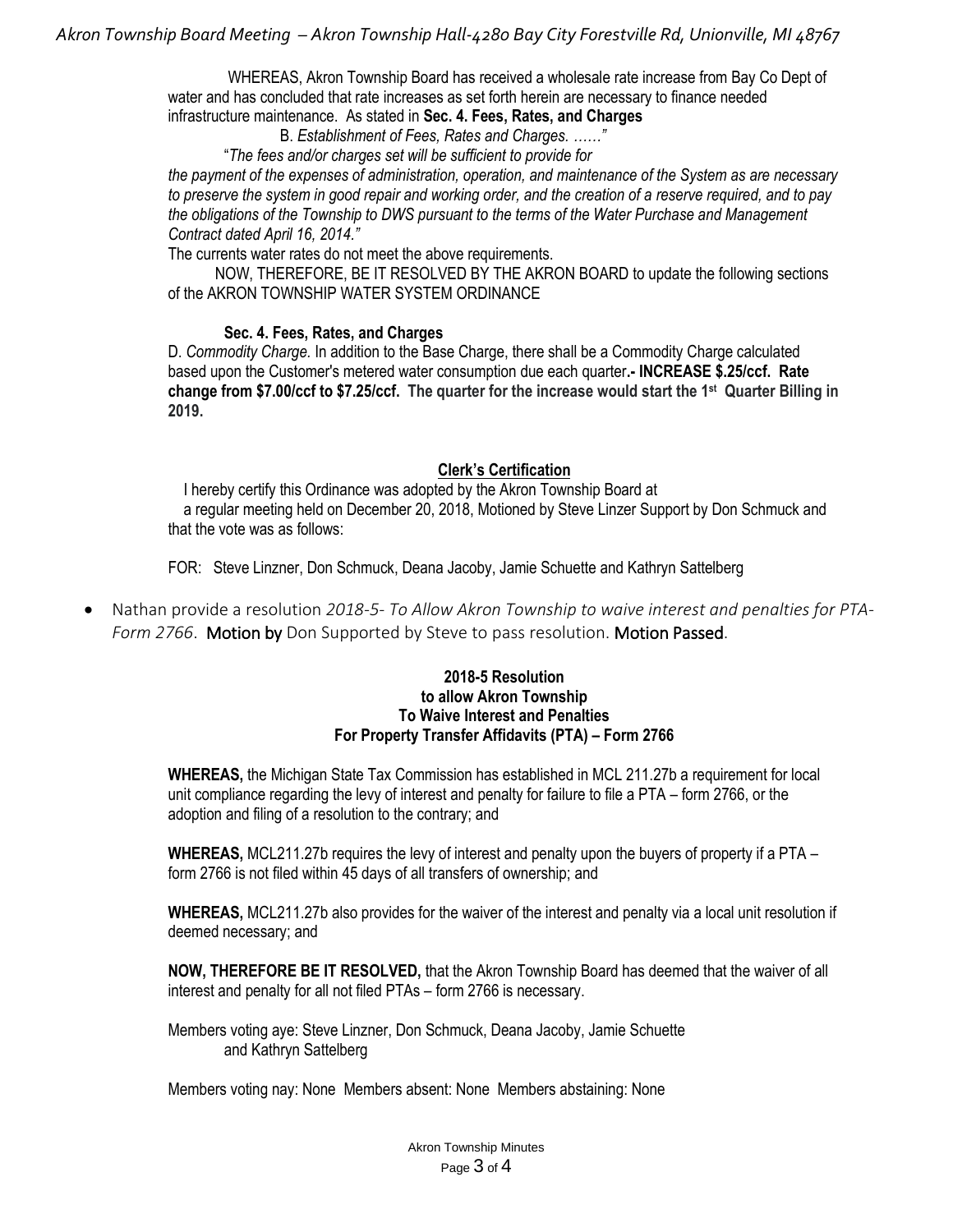WHEREAS, Akron Township Board has received a wholesale rate increase from Bay Co Dept of water and has concluded that rate increases as set forth herein are necessary to finance needed infrastructure maintenance. As stated in **Sec. 4. Fees, Rates, and Charges**

B. *Establishment of Fees, Rates and Charges. ……"*

"*The fees and/or charges set will be sufficient to provide for*

*the payment of the expenses of administration, operation, and maintenance of the System as are necessary to preserve the system in good repair and working order, and the creation of a reserve required, and to pay the obligations of the Township to DWS pursuant to the terms of the Water Purchase and Management Contract dated April 16, 2014."*

The currents water rates do not meet the above requirements.

 NOW, THEREFORE, BE IT RESOLVED BY THE AKRON BOARD to update the following sections of the AKRON TOWNSHIP WATER SYSTEM ORDINANCE

#### **Sec. 4. Fees, Rates, and Charges**

D. *Commodity Charge.* In addition to the Base Charge, there shall be a Commodity Charge calculated based upon the Customer's metered water consumption due each quarter**.- INCREASE \$.25/ccf. Rate change from \$7.00/ccf to \$7.25/ccf. The quarter for the increase would start the 1st Quarter Billing in 2019.**

#### **Clerk's Certification**

 I hereby certify this Ordinance was adopted by the Akron Township Board at a regular meeting held on December 20, 2018, Motioned by Steve Linzer Support by Don Schmuck and that the vote was as follows:

FOR: Steve Linzner, Don Schmuck, Deana Jacoby, Jamie Schuette and Kathryn Sattelberg

• Nathan provide a resolution *2018-5- To Allow Akron Township to waive interest and penalties for PTA-Form 2766*. Motion by Don Supported by Steve to pass resolution. Motion Passed.

#### **2018-5 Resolution to allow Akron Township To Waive Interest and Penalties For Property Transfer Affidavits (PTA) – Form 2766**

**WHEREAS,** the Michigan State Tax Commission has established in MCL 211.27b a requirement for local unit compliance regarding the levy of interest and penalty for failure to file a PTA – form 2766, or the adoption and filing of a resolution to the contrary; and

**WHEREAS,** MCL211.27b requires the levy of interest and penalty upon the buyers of property if a PTA – form 2766 is not filed within 45 days of all transfers of ownership; and

**WHEREAS,** MCL211.27b also provides for the waiver of the interest and penalty via a local unit resolution if deemed necessary; and

**NOW, THEREFORE BE IT RESOLVED,** that the Akron Township Board has deemed that the waiver of all interest and penalty for all not filed PTAs – form 2766 is necessary.

Members voting aye: Steve Linzner, Don Schmuck, Deana Jacoby, Jamie Schuette and Kathryn Sattelberg

Members voting nay: None Members absent: None Members abstaining: None